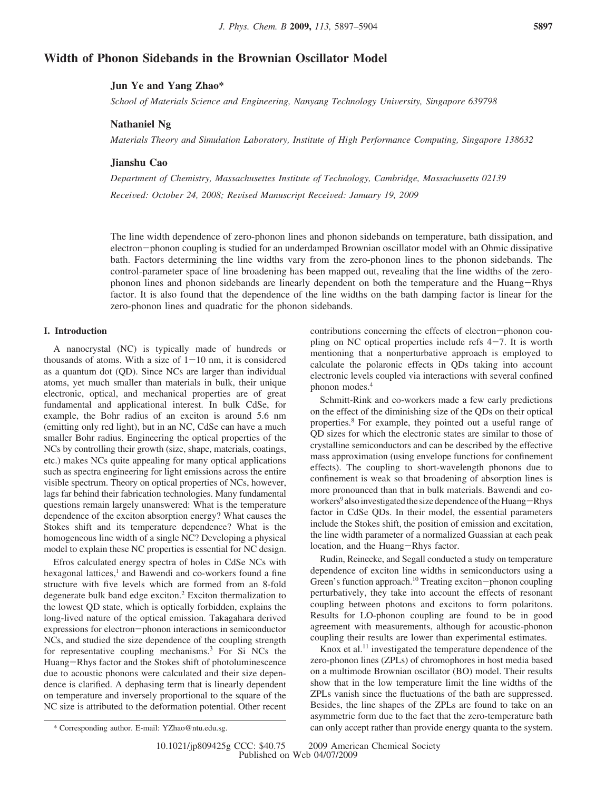# **Width of Phonon Sidebands in the Brownian Oscillator Model**

## **Jun Ye and Yang Zhao\***

*School of Materials Science and Engineering, Nanyang Technology University, Singapore 639798* 

### **Nathaniel Ng**

*Materials Theory and Simulation Laboratory, Institute of High Performance Computing, Singapore 138632*

### **Jianshu Cao**

*Department of Chemistry, Massachusettes Institute of Technology, Cambridge, Massachusetts 02139 Recei*V*ed: October 24, 2008; Re*V*ised Manuscript Recei*V*ed: January 19, 2009*

The line width dependence of zero-phonon lines and phonon sidebands on temperature, bath dissipation, and electron-phonon coupling is studied for an underdamped Brownian oscillator model with an Ohmic dissipative bath. Factors determining the line widths vary from the zero-phonon lines to the phonon sidebands. The control-parameter space of line broadening has been mapped out, revealing that the line widths of the zerophonon lines and phonon sidebands are linearly dependent on both the temperature and the Huang-Rhys factor. It is also found that the dependence of the line widths on the bath damping factor is linear for the zero-phonon lines and quadratic for the phonon sidebands.

## **I. Introduction**

A nanocrystal (NC) is typically made of hundreds or thousands of atoms. With a size of  $1-10$  nm, it is considered as a quantum dot (QD). Since NCs are larger than individual atoms, yet much smaller than materials in bulk, their unique electronic, optical, and mechanical properties are of great fundamental and applicational interest. In bulk CdSe, for example, the Bohr radius of an exciton is around 5.6 nm (emitting only red light), but in an NC, CdSe can have a much smaller Bohr radius. Engineering the optical properties of the NCs by controlling their growth (size, shape, materials, coatings, etc.) makes NCs quite appealing for many optical applications such as spectra engineering for light emissions across the entire visible spectrum. Theory on optical properties of NCs, however, lags far behind their fabrication technologies. Many fundamental questions remain largely unanswered: What is the temperature dependence of the exciton absorption energy? What causes the Stokes shift and its temperature dependence? What is the homogeneous line width of a single NC? Developing a physical model to explain these NC properties is essential for NC design.

Efros calculated energy spectra of holes in CdSe NCs with hexagonal lattices, $<sup>1</sup>$  and Bawendi and co-workers found a fine</sup> structure with five levels which are formed from an 8-fold degenerate bulk band edge exciton.<sup>2</sup> Exciton thermalization to the lowest QD state, which is optically forbidden, explains the long-lived nature of the optical emission. Takagahara derived expressions for electron-phonon interactions in semiconductor NCs, and studied the size dependence of the coupling strength for representative coupling mechanisms.3 For Si NCs the Huang-Rhys factor and the Stokes shift of photoluminescence due to acoustic phonons were calculated and their size dependence is clarified. A dephasing term that is linearly dependent on temperature and inversely proportional to the square of the NC size is attributed to the deformation potential. Other recent contributions concerning the effects of electron-phonon coupling on NC optical properties include refs  $4-7$ . It is worth mentioning that a nonperturbative approach is employed to calculate the polaronic effects in QDs taking into account electronic levels coupled via interactions with several confined phonon modes.4

Schmitt-Rink and co-workers made a few early predictions on the effect of the diminishing size of the QDs on their optical properties.8 For example, they pointed out a useful range of QD sizes for which the electronic states are similar to those of crystalline semiconductors and can be described by the effective mass approximation (using envelope functions for confinement effects). The coupling to short-wavelength phonons due to confinement is weak so that broadening of absorption lines is more pronounced than that in bulk materials. Bawendi and coworkers<sup>9</sup> also investigated the size dependence of the Huang-Rhys factor in CdSe QDs. In their model, the essential parameters include the Stokes shift, the position of emission and excitation, the line width parameter of a normalized Guassian at each peak location, and the Huang-Rhys factor.

Rudin, Reinecke, and Segall conducted a study on temperature dependence of exciton line widths in semiconductors using a Green's function approach.<sup>10</sup> Treating exciton-phonon coupling perturbatively, they take into account the effects of resonant coupling between photons and excitons to form polaritons. Results for LO-phonon coupling are found to be in good agreement with measurements, although for acoustic-phonon coupling their results are lower than experimental estimates.

Knox et al. $<sup>11</sup>$  investigated the temperature dependence of the</sup> zero-phonon lines (ZPLs) of chromophores in host media based on a multimode Brownian oscillator (BO) model. Their results show that in the low temperature limit the line widths of the ZPLs vanish since the fluctuations of the bath are suppressed. Besides, the line shapes of the ZPLs are found to take on an asymmetric form due to the fact that the zero-temperature bath \* Corresponding author. E-mail: YZhao@ntu.edu.sg. can only accept rather than provide energy quanta to the system.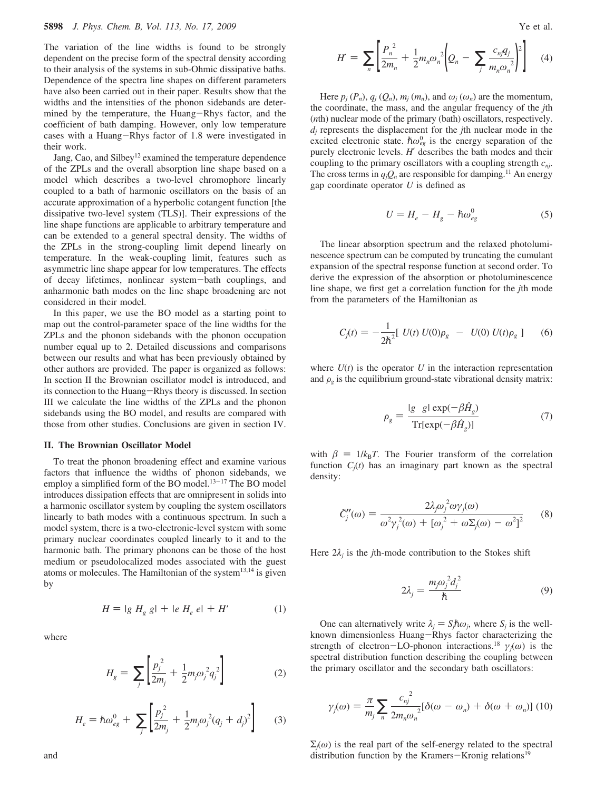The variation of the line widths is found to be strongly dependent on the precise form of the spectral density according to their analysis of the systems in sub-Ohmic dissipative baths. Dependence of the spectra line shapes on different parameters have also been carried out in their paper. Results show that the widths and the intensities of the phonon sidebands are determined by the temperature, the Huang-Rhys factor, and the coefficient of bath damping. However, only low temperature cases with a Huang-Rhys factor of 1.8 were investigated in their work.

Jang, Cao, and Silbey<sup>12</sup> examined the temperature dependence of the ZPLs and the overall absorption line shape based on a model which describes a two-level chromophore linearly coupled to a bath of harmonic oscillators on the basis of an accurate approximation of a hyperbolic cotangent function [the dissipative two-level system (TLS)]. Their expressions of the line shape functions are applicable to arbitrary temperature and can be extended to a general spectral density. The widths of the ZPLs in the strong-coupling limit depend linearly on temperature. In the weak-coupling limit, features such as asymmetric line shape appear for low temperatures. The effects of decay lifetimes, nonlinear system-bath couplings, and anharmonic bath modes on the line shape broadening are not considered in their model.

In this paper, we use the BO model as a starting point to map out the control-parameter space of the line widths for the ZPLs and the phonon sidebands with the phonon occupation number equal up to 2. Detailed discussions and comparisons between our results and what has been previously obtained by other authors are provided. The paper is organized as follows: In section II the Brownian oscillator model is introduced, and its connection to the Huang-Rhys theory is discussed. In section III we calculate the line widths of the ZPLs and the phonon sidebands using the BO model, and results are compared with those from other studies. Conclusions are given in section IV.

### **II. The Brownian Oscillator Model**

To treat the phonon broadening effect and examine various factors that influence the widths of phonon sidebands, we employ a simplified form of the BO model.<sup>13-17</sup> The BO model introduces dissipation effects that are omnipresent in solids into a harmonic oscillator system by coupling the system oscillators linearly to bath modes with a continuous spectrum. In such a model system, there is a two-electronic-level system with some primary nuclear coordinates coupled linearly to it and to the harmonic bath. The primary phonons can be those of the host medium or pseudolocalized modes associated with the guest atoms or molecules. The Hamiltonian of the system $13,14$  is given by

$$
H = |g\rangle H_g \langle g| + |e\rangle H_e \langle e| + H'
$$
 (1)

where

$$
H_g = \sum_j \left[ \frac{p_j^2}{2m_j} + \frac{1}{2} m_j \omega_j^2 q_j^2 \right] \tag{2}
$$

$$
H_e = \hbar \omega_{eg}^0 + \sum_j \left[ \frac{p_j^2}{2m_j} + \frac{1}{2} m_j \omega_j^2 (q_j + d_j)^2 \right] \tag{3}
$$

$$
H' = \sum_{n} \left[ \frac{P_n^2}{2m_n} + \frac{1}{2} m_n \omega_n^2 \left( Q_n - \sum_j \frac{c_{nj} q_j}{m_n \omega_n^2} \right)^2 \right] \tag{4}
$$

Here  $p_i$  ( $P_n$ ),  $q_i$  ( $Q_n$ ),  $m_i$  ( $m_n$ ), and  $\omega_i$  ( $\omega_n$ ) are the momentum, the coordinate, the mass, and the angular frequency of the *j*th (*n*th) nuclear mode of the primary (bath) oscillators, respectively. *dj* represents the displacement for the *j*th nuclear mode in the excited electronic state.  $\hbar \omega_{eg}^0$  is the energy separation of the purely electronic levels. *H*′ describes the bath modes and their coupling to the primary oscillators with a coupling strength *cnj*. The cross terms in  $q_iQ_n$  are responsible for damping.<sup>11</sup> An energy gap coordinate operator *U* is defined as

$$
U = H_e - H_g - \hbar \omega_{eg}^0 \tag{5}
$$

The linear absorption spectrum and the relaxed photoluminescence spectrum can be computed by truncating the cumulant expansion of the spectral response function at second order. To derive the expression of the absorption or photoluminescence line shape, we first get a correlation function for the *j*th mode from the parameters of the Hamiltonian as

$$
C_j(t) = -\frac{1}{2\hbar^2} [\langle U(t) U(0)\rho_g \rangle - \langle U(0) U(t)\rho_g \rangle] \tag{6}
$$

where  $U(t)$  is the operator  $U$  in the interaction representation and  $\rho_g$  is the equilibrium ground-state vibrational density matrix:

$$
\rho_g = \frac{|g\rangle\langle g| \exp(-\beta \hat{H}_g)}{\text{Tr}[\exp(-\beta \hat{H}_g)]}
$$
(7)

with  $\beta = 1/k_B T$ . The Fourier transform of the correlation<br>function  $C(t)$  has an imaginary part known as the spectral function  $C_i(t)$  has an imaginary part known as the spectral density:

$$
\tilde{C}_{j}^{"}(\omega) = \frac{2\lambda_{j}\omega_{j}^{2}\omega\gamma_{j}(\omega)}{\omega^{2}\gamma_{j}^{2}(\omega) + [\omega_{j}^{2} + \omega\Sigma_{j}(\omega) - \omega^{2}]^{2}}
$$
(8)

Here  $2\lambda_i$  is the *j*th-mode contribution to the Stokes shift

$$
2\lambda_j = \frac{m_j \omega_j^2 d_j^2}{\hbar} \tag{9}
$$

One can alternatively write  $\lambda_i = S_i \hbar \omega_i$ , where  $S_i$  is the wellknown dimensionless Huang-Rhys factor characterizing the strength of electron-LO-phonon interactions.<sup>18</sup>  $\gamma_j(\omega)$  is the spectral distribution function describing the coupling between the primary oscillator and the secondary bath oscillators:

$$
\gamma_j(\omega) = \frac{\pi}{m_j} \sum_n \frac{{c_{nj}}^2}{2m_n \omega_n^2} [\delta(\omega - \omega_n) + \delta(\omega + \omega_n)] \tag{10}
$$

 $\Sigma_i(\omega)$  is the real part of the self-energy related to the spectral distribution function by the Kramers-Kronig relations<sup>19</sup>

and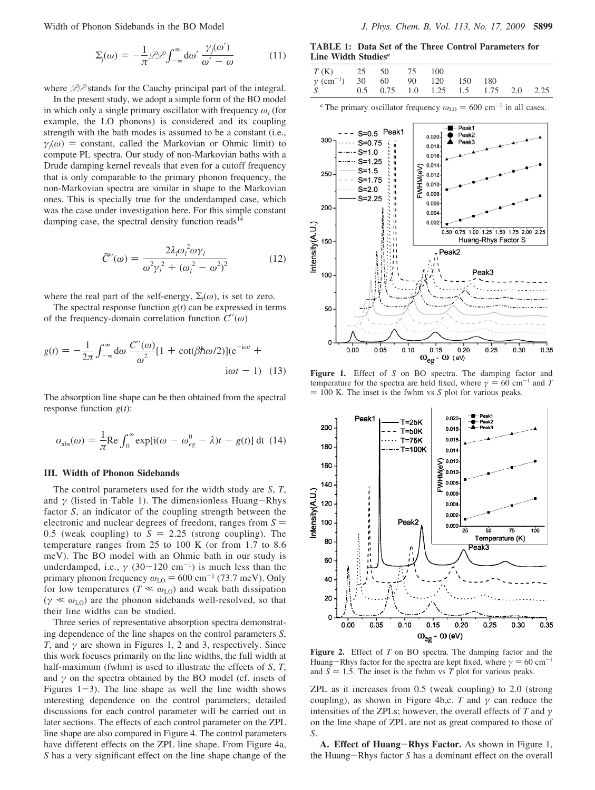$$
\Sigma_j(\omega) = -\frac{1}{\pi} \mathscr{D} \mathscr{D} \int_{-\infty}^{\infty} d\omega' \frac{\gamma_j(\omega')}{\omega' - \omega} \tag{11}
$$

where *PP* stands for the Cauchy principal part of the integral.

In the present study, we adopt a simple form of the BO model in which only a single primary oscillator with frequency *ω<sup>l</sup>* (for example, the LO phonons) is considered and its coupling strength with the bath modes is assumed to be a constant (i.e.,  $\gamma_i(\omega)$  = constant, called the Markovian or Ohmic limit) to compute PL spectra. Our study of non-Markovian baths with a Drude damping kernel reveals that even for a cutoff frequency that is only comparable to the primary phonon frequency, the non-Markovian spectra are similar in shape to the Markovian ones. This is specially true for the underdamped case, which was the case under investigation here. For this simple constant damping case, the spectral density function reads $14$ 

$$
\widetilde{C}'(\omega) = \frac{2\lambda_l \omega_l^2 \omega \gamma_l}{\omega^2 \gamma_l^2 + (\omega_l^2 - \omega^2)^2}
$$
(12)

where the real part of the self-energy,  $\Sigma_l(\omega)$ , is set to zero.

The spectral response function  $g(t)$  can be expressed in terms of the frequency-domain correlation function *C*′′(*ω*)

$$
g(t) = -\frac{1}{2\pi} \int_{-\infty}^{\infty} d\omega \frac{C''(\omega)}{\omega^2} [1 + \cot(\beta \hbar \omega/2)] (e^{-i\omega t} + i\omega t - 1) \quad (13)
$$

The absorption line shape can be then obtained from the spectral response function *g*(*t*):

$$
\sigma_{\text{abs}}(\omega) = \frac{1}{\pi} \text{Re} \int_0^\infty \exp[i(\omega - \omega_{eg}^0 - \lambda)t - g(t)] dt
$$
 (14)

## **III. Width of Phonon Sidebands**

The control parameters used for the width study are *S*, *T*, and *<sup>γ</sup>* (listed in Table 1). The dimensionless Huang-Rhys factor *S*, an indicator of the coupling strength between the electronic and nuclear degrees of freedom, ranges from  $S =$ 0.5 (weak coupling) to  $S = 2.25$  (strong coupling). The temperature ranges from 25 to 100 K (or from 1.7 to 8.6 meV). The BO model with an Ohmic bath in our study is underdamped, i.e.,  $\gamma$  (30–120 cm<sup>-1</sup>) is much less than the primary phonon frequency  $\omega_{\text{LO}} = 600 \text{ cm}^{-1} (73.7 \text{ meV})$  Only primary phonon frequency  $\omega_{\text{LO}} = 600 \text{ cm}^{-1}$  (73.7 meV). Only for low temperatures ( $T \ll \omega_{\text{LO}}$ ) and weak bath dissipation  $(\gamma \ll \omega_{\text{LO}})$  are the phonon sidebands well-resolved, so that their line widths can be studied.

Three series of representative absorption spectra demonstrating dependence of the line shapes on the control parameters *S*, *T*, and *γ* are shown in Figures 1, 2 and 3, respectively. Since this work focuses primarily on the line widths, the full width at half-maximum (fwhm) is used to illustrate the effects of *S*, *T*, and  $\gamma$  on the spectra obtained by the BO model (cf. insets of Figures  $1-3$ ). The line shape as well the line width shows interesting dependence on the control parameters; detailed discussions for each control parameter will be carried out in later sections. The effects of each control parameter on the ZPL line shape are also compared in Figure 4. The control parameters have different effects on the ZPL line shape. From Figure 4a, *S* has a very significant effect on the line shape change of the

**TABLE 1: Data Set of the Three Control Parameters for Line Width Studies***<sup>a</sup>*

| $T(K)$ 25 50 75 100                               |  |  |  |  |
|---------------------------------------------------|--|--|--|--|
| $\gamma$ (cm <sup>-1</sup> ) 30 60 90 120 150 180 |  |  |  |  |
| S 0.5 0.75 1.0 1.25 1.5 1.75 2.0 2.25             |  |  |  |  |

<sup>*a*</sup> The primary oscillator frequency  $\omega_{\text{LO}} = 600 \text{ cm}^{-1}$  in all cases.



**Figure 1.** Effect of *S* on BO spectra. The damping factor and temperature for the spectra are held fixed, where  $\gamma = 60 \text{ cm}^{-1}$  and *T* ) 100 K. The inset is the fwhm vs *<sup>S</sup>* plot for various peaks.



**Figure 2.** Effect of *T* on BO spectra. The damping factor and the Huang-Rhys factor for the spectra are kept fixed, where  $\gamma = 60 \text{ cm}^{-1}$ and  $S = 1.5$ . The inset is the fwhm vs *T* plot for various peaks.

ZPL as it increases from 0.5 (weak coupling) to 2.0 (strong coupling), as shown in Figure 4b,c. *T* and *γ* can reduce the intensities of the ZPLs; however, the overall effects of *T* and *γ* on the line shape of ZPL are not as great compared to those of *S*.

**A. Effect of Huang**-**Rhys Factor.** As shown in Figure 1, the Huang-Rhys factor *<sup>S</sup>* has a dominant effect on the overall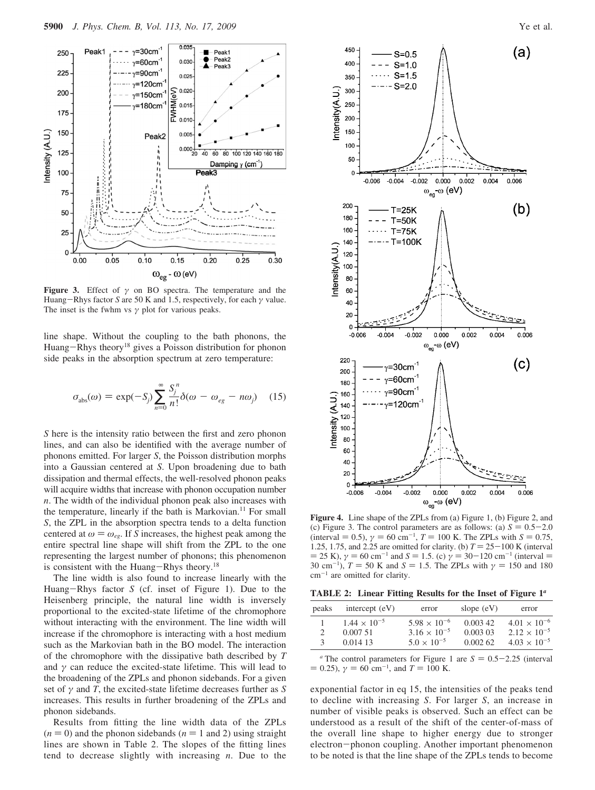

**Figure 3.** Effect of  $\gamma$  on BO spectra. The temperature and the Huang-Rhys factor *<sup>S</sup>* are 50 K and 1.5, respectively, for each *<sup>γ</sup>* value. The inset is the fwhm vs  $\gamma$  plot for various peaks.

line shape. Without the coupling to the bath phonons, the Huang-Rhys theory<sup>18</sup> gives a Poisson distribution for phonon side peaks in the absorption spectrum at zero temperature:

$$
\sigma_{\text{abs}}(\omega) = \exp(-S_j) \sum_{n=0}^{\infty} \frac{S_j^n}{n!} \delta(\omega - \omega_{eg} - n\omega_j) \quad (15)
$$

*S* here is the intensity ratio between the first and zero phonon lines, and can also be identified with the average number of phonons emitted. For larger *S*, the Poisson distribution morphs into a Gaussian centered at *S*. Upon broadening due to bath dissipation and thermal effects, the well-resolved phonon peaks will acquire widths that increase with phonon occupation number *n*. The width of the individual phonon peak also increases with the temperature, linearly if the bath is Markovian.<sup>11</sup> For small *S*, the ZPL in the absorption spectra tends to a delta function centered at  $\omega = \omega_{eg}$ . If *S* increases, the highest peak among the entire spectral line shape will shift from the ZPL to the one representing the largest number of phonons; this phenomenon is consistent with the Huang-Rhys theory.<sup>18</sup>

The line width is also found to increase linearly with the Huang-Rhys factor *<sup>S</sup>* (cf. inset of Figure 1). Due to the Heisenberg principle, the natural line width is inversely proportional to the excited-state lifetime of the chromophore without interacting with the environment. The line width will increase if the chromophore is interacting with a host medium such as the Markovian bath in the BO model. The interaction of the chromophore with the dissipative bath described by *T* and  $\gamma$  can reduce the excited-state lifetime. This will lead to the broadening of the ZPLs and phonon sidebands. For a given set of *γ* and *T*, the excited-state lifetime decreases further as *S* increases. This results in further broadening of the ZPLs and phonon sidebands.

Results from fitting the line width data of the ZPLs  $(n = 0)$  and the phonon sidebands  $(n = 1$  and 2) using straight lines are shown in Table 2. The slopes of the fitting lines tend to decrease slightly with increasing *n*. Due to the





Figure 4. Line shape of the ZPLs from (a) Figure 1, (b) Figure 2, and (c) Figure 3. The control parameters are as follows: (a)  $S = 0.5 - 2.0$ (interval = 0.5),  $\gamma = 60 \text{ cm}^{-1}$ ,  $T = 100 \text{ K}$ . The ZPLs with  $S = 0.75$ , 1.25, 1.25 and 2.25 are omitted for clarity (b)  $T = 25-100 \text{ K}$  (interval) 1.25, 1.75, and 2.25 are omitted for clarity. (b)  $T = 25-100$  K (interval  $=$  25 K),  $\gamma$  = 60 cm<sup>-1</sup> and *S* = 1.5. (c)  $\gamma$  = 30-120 cm<sup>-1</sup> (interval = 30 cm<sup>-1</sup>),  $T = 50$  K and  $S = 1.5$ . The ZPLs with  $\gamma = 150$  and 180 cm<sup>-1</sup> are omitted for clarity  $cm^{-1}$  are omitted for clarity.

|  | TABLE 2: Linear Fitting Results for the Inset of Figure 1 <sup>a</sup> |  |  |  |
|--|------------------------------------------------------------------------|--|--|--|
|--|------------------------------------------------------------------------|--|--|--|

| peaks | intercept $(eV)$      | error                 | slope $(eV)$ | error                 |
|-------|-----------------------|-----------------------|--------------|-----------------------|
|       | $1.44 \times 10^{-5}$ | $5.98 \times 10^{-6}$ | 0.00342      | $4.01 \times 10^{-6}$ |
|       | 0.00751               | $3.16 \times 10^{-5}$ | 0.00303      | $2.12 \times 10^{-5}$ |
|       | 0.014.13              | $5.0 \times 10^{-5}$  | 0.002.62     | $4.03 \times 10^{-5}$ |

<sup>*a*</sup> The control parameters for Figure 1 are  $S = 0.5-2.25$  (interval 0.25)  $\nu = 60 \text{ cm}^{-1}$  and  $T = 100 \text{ K}$  $= 0.25$ ),  $\gamma = 60$  cm<sup>-1</sup>, and  $T = 100$  K.

exponential factor in eq 15, the intensities of the peaks tend to decline with increasing *S*. For larger *S*, an increase in number of visible peaks is observed. Such an effect can be understood as a result of the shift of the center-of-mass of the overall line shape to higher energy due to stronger electron-phonon coupling. Another important phenomenon to be noted is that the line shape of the ZPLs tends to become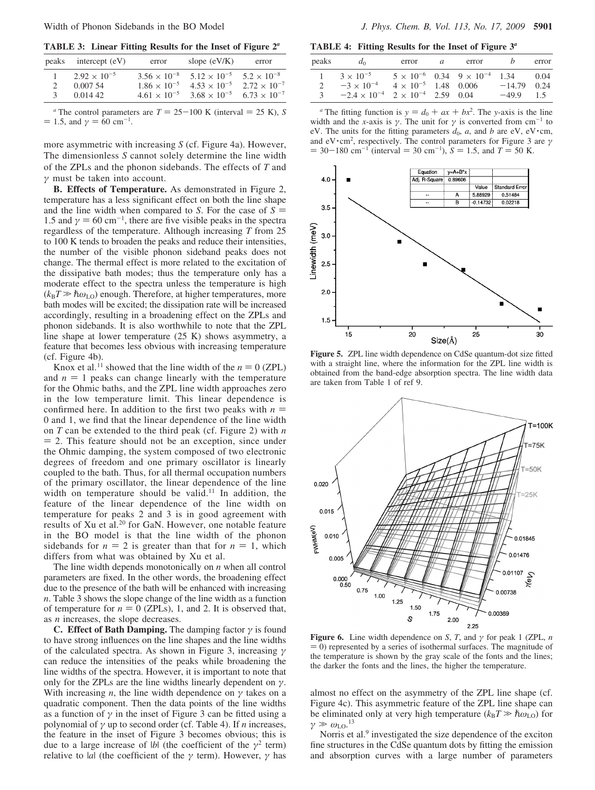**TABLE 3: Linear Fitting Results for the Inset of Figure 2***<sup>a</sup>*

| peaks | intercept $(eV)$      | error                 | slope $(eV/K)$        | error                 |
|-------|-----------------------|-----------------------|-----------------------|-----------------------|
| 3     | $2.92 \times 10^{-5}$ | $3.56 \times 10^{-8}$ | $5.12 \times 10^{-5}$ | $5.2 \times 10^{-8}$  |
|       | 0.00754               | $1.86 \times 10^{-5}$ | $4.53 \times 10^{-5}$ | $2.72 \times 10^{-7}$ |
|       | 0.01442               | $4.61 \times 10^{-5}$ | $3.68 \times 10^{-5}$ | $6.73 \times 10^{-7}$ |

<sup>*a*</sup> The control parameters are  $T = 25-100$  K (interval = 25 K), *S*  $= 1.5$ , and  $\gamma = 60$  cm<sup>-1</sup>.

more asymmetric with increasing *S* (cf. Figure 4a). However, The dimensionless *S* cannot solely determine the line width of the ZPLs and the phonon sidebands. The effects of *T* and *γ* must be taken into account.

**B. Effects of Temperature.** As demonstrated in Figure 2, temperature has a less significant effect on both the line shape and the line width when compared to *S*. For the case of  $S =$ 1.5 and  $\gamma = 60 \text{ cm}^{-1}$ , there are five visible peaks in the spectra regardless of the temperature. Although increasing T from 25 regardless of the temperature. Although increasing *T* from 25 to 100 K tends to broaden the peaks and reduce their intensities, the number of the visible phonon sideband peaks does not change. The thermal effect is more related to the excitation of the dissipative bath modes; thus the temperature only has a moderate effect to the spectra unless the temperature is high  $(k_B T \gg \hbar \omega_{LO})$  enough. Therefore, at higher temperatures, more bath modes will be excited; the dissipation rate will be increased accordingly, resulting in a broadening effect on the ZPLs and phonon sidebands. It is also worthwhile to note that the ZPL line shape at lower temperature (25 K) shows asymmetry, a feature that becomes less obvious with increasing temperature (cf. Figure 4b).

Knox et al.<sup>11</sup> showed that the line width of the  $n = 0$  (ZPL) and  $n = 1$  peaks can change linearly with the temperature for the Ohmic baths, and the ZPL line width approaches zero in the low temperature limit. This linear dependence is confirmed here. In addition to the first two peaks with  $n =$ 0 and 1, we find that the linear dependence of the line width on *T* can be extended to the third peak (cf. Figure 2) with *n*  $=$  2. This feature should not be an exception, since under the Ohmic damping, the system composed of two electronic degrees of freedom and one primary oscillator is linearly coupled to the bath. Thus, for all thermal occupation numbers of the primary oscillator, the linear dependence of the line width on temperature should be valid.<sup>11</sup> In addition, the feature of the linear dependence of the line width on temperature for peaks 2 and 3 is in good agreement with results of Xu et al.20 for GaN. However, one notable feature in the BO model is that the line width of the phonon sidebands for  $n = 2$  is greater than that for  $n = 1$ , which differs from what was obtained by Xu et al.

The line width depends monotonically on *n* when all control parameters are fixed. In the other words, the broadening effect due to the presence of the bath will be enhanced with increasing *n*. Table 3 shows the slope change of the line width as a function of temperature for  $n = 0$  (ZPLs), 1, and 2. It is observed that, as *n* increases, the slope decreases.

**C. Effect of Bath Damping.** The damping factor *γ* is found to have strong influences on the line shapes and the line widths of the calculated spectra. As shown in Figure 3, increasing *γ* can reduce the intensities of the peaks while broadening the line widths of the spectra. However, it is important to note that only for the ZPLs are the line widths linearly dependent on *γ*. With increasing *n*, the line width dependence on  $\gamma$  takes on a quadratic component. Then the data points of the line widths as a function of  $\gamma$  in the inset of Figure 3 can be fitted using a polynomial of *γ* up to second order (cf. Table 4). If *n* increases, the feature in the inset of Figure 3 becomes obvious; this is due to a large increase of |*b*| (the coefficient of the  $\gamma^2$  term) relative to |*a*| (the coefficient of the *γ* term). However, *γ* has

**TABLE 4: Fitting Results for the Inset of Figure 3***<sup>a</sup>*

| $5 \times 10^{-6}$ 0.34 $9 \times 10^{-4}$ 1.34<br>$3 \times 10^{-5}$<br>$4 \times 10^{-5}$ 1.48 0.006<br>$-3 \times 10^{-4}$<br>$-14.79$ 0.24 |      |
|------------------------------------------------------------------------------------------------------------------------------------------------|------|
|                                                                                                                                                | 0.04 |
|                                                                                                                                                |      |
| $-2.4 \times 10^{-4}$ $2 \times 10^{-4}$ 2.59 0.04<br>$-49.9$                                                                                  | 1.5  |

*a* The fitting function is  $y = d_0 + ax + bx^2$ . The *y*-axis is the line dth and the *x*-axis is  $\gamma$ . The unit for  $\gamma$  is converted from cm<sup>-1</sup> to width and the *x*-axis is  $\gamma$ . The unit for  $\gamma$  is converted from cm<sup>-1</sup> to eV. The units for the fitting parameters  $d_0$ ,  $a$ , and  $b$  are eV, eV · cm, and eV $\cdot$ cm<sup>2</sup>, respectively. The control parameters for Figure 3 are *γ* = 30–180 cm<sup>-1</sup> (interval = 30 cm<sup>-1</sup>) S = 1.5 and T = 50 K  $= 30-180 \text{ cm}^{-1}$  (interval  $= 30 \text{ cm}^{-1}$ ),  $S = 1.5$ , and  $T = 50 \text{ K}$ .



**Figure 5.** ZPL line width dependence on CdSe quantum-dot size fitted with a straight line, where the information for the ZPL line width is obtained from the band-edge absorption spectra. The line width data are taken from Table 1 of ref 9.



**Figure 6.** Line width dependence on *S*, *T*, and  $\gamma$  for peak 1 (ZPL, *n*  $= 0$ ) represented by a series of isothermal surfaces. The magnitude of the temperature is shown by the gray scale of the fonts and the lines; the darker the fonts and the lines, the higher the temperature.

almost no effect on the asymmetry of the ZPL line shape (cf. Figure 4c). This asymmetric feature of the ZPL line shape can be eliminated only at very high temperature ( $k_B T \gg \hbar \omega_{\text{LO}}$ ) for *γ*  $\gg$   $ω$ <sub>LO</sub>.<sup>13</sup><br>Norris et

Norris et al.<sup>9</sup> investigated the size dependence of the exciton fine structures in the CdSe quantum dots by fitting the emission and absorption curves with a large number of parameters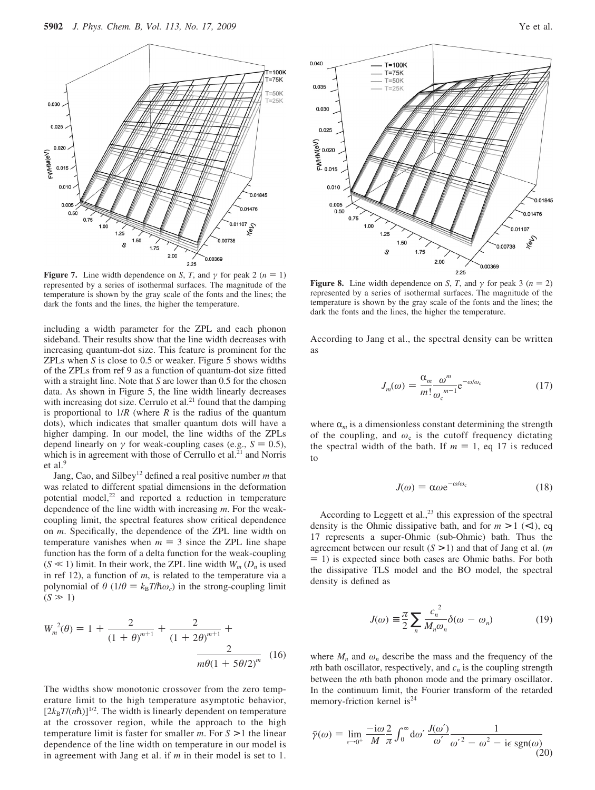

**Figure 7.** Line width dependence on *S*, *T*, and  $\gamma$  for peak 2 (*n* = 1) represented by a series of isothermal surfaces. The magnitude of the temperature is shown by the gray scale of the fonts and the lines; the dark the fonts and the lines, the higher the temperature.

including a width parameter for the ZPL and each phonon sideband. Their results show that the line width decreases with increasing quantum-dot size. This feature is prominent for the ZPLs when *S* is close to 0.5 or weaker. Figure 5 shows widths of the ZPLs from ref 9 as a function of quantum-dot size fitted with a straight line. Note that *S* are lower than 0.5 for the chosen data. As shown in Figure 5, the line width linearly decreases with increasing dot size. Cerrulo et al.<sup>21</sup> found that the damping is proportional to 1/*R* (where *R* is the radius of the quantum dots), which indicates that smaller quantum dots will have a higher damping. In our model, the line widths of the ZPLs depend linearly on  $\gamma$  for weak-coupling cases (e.g.,  $S = 0.5$ ), which is in agreement with those of Cerrullo et  $al$ <sup>21</sup> and Norris et al.<sup>9</sup>

Jang, Cao, and Silbey12 defined a real positive number *m* that was related to different spatial dimensions in the deformation potential model, $22$  and reported a reduction in temperature dependence of the line width with increasing *m*. For the weakcoupling limit, the spectral features show critical dependence on *m*. Specifically, the dependence of the ZPL line width on temperature vanishes when  $m = 3$  since the ZPL line shape function has the form of a delta function for the weak-coupling  $(S \ll 1)$  limit. In their work, the ZPL line width  $W_m(D_n)$  is used in ref 12), a function of *m*, is related to the temperature via a polynomial of  $\theta$  (1/ $\theta = k_B T/\hbar \omega_c$ ) in the strong-coupling limit  $(S \gg 1)$ 

$$
W_m^2(\theta) = 1 + \frac{2}{(1+\theta)^{m+1}} + \frac{2}{(1+2\theta)^{m+1}} + \frac{2}{m\theta(1+5\theta/2)^m}
$$
 (16)

The widths show monotonic crossover from the zero temperature limit to the high temperature asymptotic behavior,  $[2k_B T/(n\hbar)]^{1/2}$ . The width is linearly dependent on temperature at the crossover region, while the approach to the high temperature limit is faster for smaller *m*. For *S* > 1 the linear dependence of the line width on temperature in our model is in agreement with Jang et al. if *m* in their model is set to 1.



**Figure 8.** Line width dependence on *S*, *T*, and  $\gamma$  for peak 3 (*n* = 2) represented by a series of isothermal surfaces. The magnitude of the temperature is shown by the gray scale of the fonts and the lines; the dark the fonts and the lines, the higher the temperature.

According to Jang et al., the spectral density can be written as

$$
J_m(\omega) = \frac{\alpha_m}{m!} \frac{\omega^m}{\omega_c^{m-1}} e^{-\omega/\omega_c}
$$
 (17)

where  $\alpha_m$  is a dimensionless constant determining the strength of the coupling, and  $\omega_c$  is the cutoff frequency dictating the spectral width of the bath. If  $m = 1$ , eq 17 is reduced to

$$
J(\omega) = \alpha \omega e^{-\omega/\omega_c} \tag{18}
$$

According to Leggett et al.,<sup>23</sup> this expression of the spectral density is the Ohmic dissipative bath, and for  $m > 1$  (<1), eq 17 represents a super-Ohmic (sub-Ohmic) bath. Thus the agreement between our result (*S* > 1) and that of Jang et al. (*m*  $=$  1) is expected since both cases are Ohmic baths. For both the dissipative TLS model and the BO model, the spectral density is defined as

$$
J(\omega) \equiv \frac{\pi}{2} \sum_{n} \frac{c_n^2}{M_n \omega_n} \delta(\omega - \omega_n)
$$
 (19)

where  $M_n$  and  $\omega_n$  describe the mass and the frequency of the *n*th bath oscillator, respectively, and  $c_n$  is the coupling strength between the *n*th bath phonon mode and the primary oscillator. In the continuum limit, the Fourier transform of the retarded memory-friction kernel is<sup>24</sup>

$$
\tilde{\gamma}(\omega) = \lim_{\epsilon \to 0^+} \frac{-i\omega}{M} \frac{2}{\pi} \int_0^\infty d\omega' \frac{J(\omega')}{\omega' \omega'^2 - \omega^2 - i\epsilon \operatorname{sgn}(\omega)} \tag{20}
$$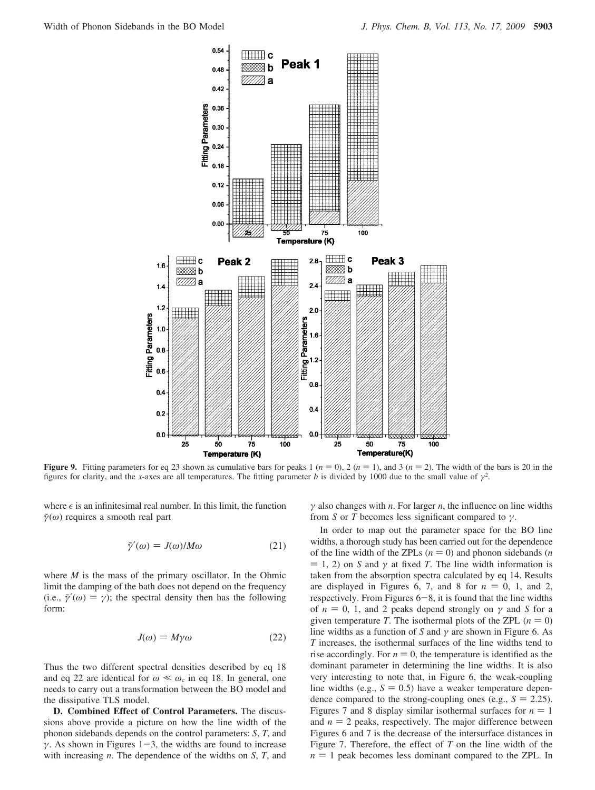

**Figure 9.** Fitting parameters for eq 23 shown as cumulative bars for peaks 1  $(n = 0)$ , 2  $(n = 1)$ , and 3  $(n = 2)$ . The width of the bars is 20 in the figures for clarity, and the *x*-axes are all temperatures. The fitting parameter *b* is divided by 1000 due to the small value of  $\gamma^2$ .

where  $\epsilon$  is an infinitesimal real number. In this limit, the function  $\tilde{\gamma}(\omega)$  requires a smooth real part

$$
\tilde{\gamma}'(\omega) = J(\omega)/M\omega \tag{21}
$$

where *M* is the mass of the primary oscillator. In the Ohmic limit the damping of the bath does not depend on the frequency (i.e.,  $\tilde{\gamma}'(\omega) = \gamma$ ); the spectral density then has the following form:

$$
J(\omega) = M\gamma \omega \tag{22}
$$

Thus the two different spectral densities described by eq 18 and eq 22 are identical for  $\omega \ll \omega_c$  in eq 18. In general, one needs to carry out a transformation between the BO model and the dissipative TLS model.

**D. Combined Effect of Control Parameters.** The discussions above provide a picture on how the line width of the phonon sidebands depends on the control parameters: *S*, *T*, and *γ*. As shown in Figures  $1-3$ , the widths are found to increase with increasing *n*. The dependence of the widths on *S*, *T*, and

*γ* also changes with *n*. For larger *n*, the influence on line widths from *S* or *T* becomes less significant compared to *γ*.

In order to map out the parameter space for the BO line widths, a thorough study has been carried out for the dependence of the line width of the ZPLs  $(n = 0)$  and phonon sidebands  $(n \cdot n)$  $= 1, 2$ ) on *S* and  $\gamma$  at fixed *T*. The line width information is taken from the absorption spectra calculated by eq 14. Results are displayed in Figures 6, 7, and 8 for  $n = 0, 1$ , and 2, respectively. From Figures  $6-8$ , it is found that the line widths of  $n = 0$ , 1, and 2 peaks depend strongly on  $\gamma$  and *S* for a given temperature *T*. The isothermal plots of the ZPL  $(n = 0)$ line widths as a function of *S* and *γ* are shown in Figure 6. As *T* increases, the isothermal surfaces of the line widths tend to rise accordingly. For  $n = 0$ , the temperature is identified as the dominant parameter in determining the line widths. It is also very interesting to note that, in Figure 6, the weak-coupling line widths (e.g.,  $S = 0.5$ ) have a weaker temperature dependence compared to the strong-coupling ones (e.g.,  $S = 2.25$ ). Figures 7 and 8 display similar isothermal surfaces for  $n = 1$ and  $n = 2$  peaks, respectively. The major difference between Figures 6 and 7 is the decrease of the intersurface distances in Figure 7. Therefore, the effect of *T* on the line width of the  $n = 1$  peak becomes less dominant compared to the ZPL. In